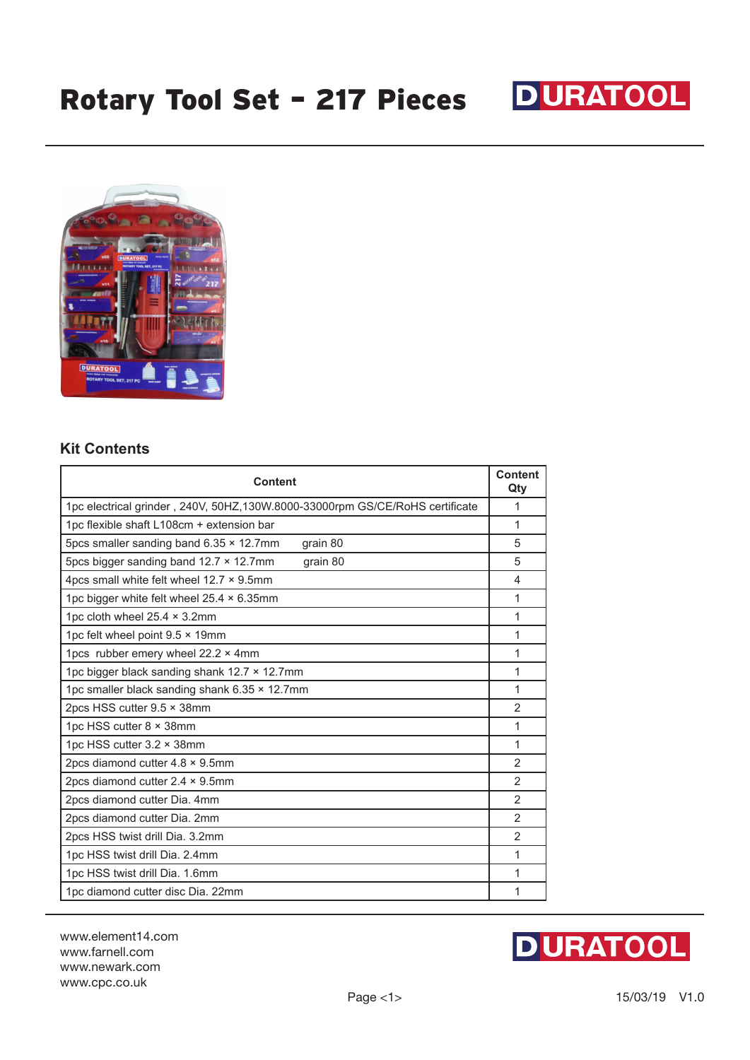



## **Kit Contents**

| Content                                                                       | <b>Content</b><br>Qty |
|-------------------------------------------------------------------------------|-----------------------|
| 1pc electrical grinder, 240V, 50HZ, 130W.8000-33000rpm GS/CE/RoHS certificate | 1                     |
| 1pc flexible shaft L108cm + extension bar                                     | 1                     |
| 5pcs smaller sanding band 6.35 × 12.7mm<br>grain 80                           | 5                     |
| 5pcs bigger sanding band $12.7 \times 12.7$ mm<br>grain 80                    | 5                     |
| 4pcs small white felt wheel 12.7 × 9.5mm                                      | 4                     |
| 1pc bigger white felt wheel 25.4 × 6.35mm                                     | 1                     |
| 1pc cloth wheel 25.4 × 3.2mm                                                  | 1                     |
| 1pc felt wheel point $9.5 \times 19$ mm                                       | 1                     |
| 1pcs rubber emery wheel 22.2 × 4mm                                            | 1                     |
| 1pc bigger black sanding shank 12.7 × 12.7mm                                  | 1                     |
| 1pc smaller black sanding shank 6.35 x 12.7mm                                 | 1                     |
| 2pcs HSS cutter 9.5 x 38mm                                                    | 2                     |
| 1pc HSS cutter 8 × 38mm                                                       | 1                     |
| 1pc HSS cutter 3.2 × 38mm                                                     | 1                     |
| 2pcs diamond cutter $4.8 \times 9.5$ mm                                       |                       |
| 2pcs diamond cutter $2.4 \times 9.5$ mm                                       | $\overline{2}$        |
| 2pcs diamond cutter Dia. 4mm                                                  | 2                     |
| 2pcs diamond cutter Dia. 2mm                                                  | 2                     |
| 2pcs HSS twist drill Dia. 3.2mm                                               | $\overline{2}$        |
| 1pc HSS twist drill Dia. 2.4mm                                                | 1                     |
| 1pc HSS twist drill Dia. 1.6mm                                                | 1                     |
| 1pc diamond cutter disc Dia. 22mm                                             | 1                     |

www.element14.com www.farnell.com www.newark.com www.cpc.co.uk